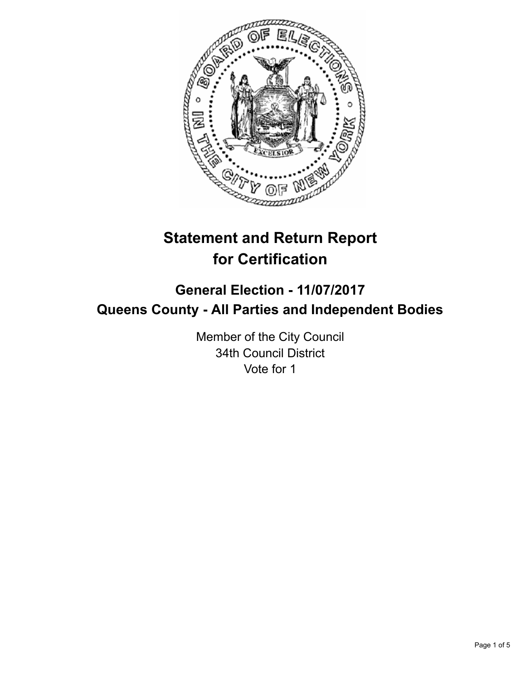

# **Statement and Return Report for Certification**

## **General Election - 11/07/2017 Queens County - All Parties and Independent Bodies**

Member of the City Council 34th Council District Vote for 1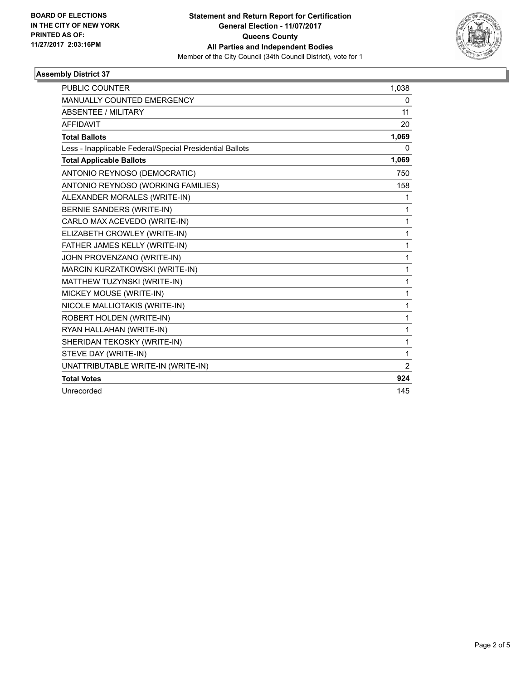

### **Assembly District 37**

| <b>PUBLIC COUNTER</b>                                    | 1.038          |
|----------------------------------------------------------|----------------|
| <b>MANUALLY COUNTED EMERGENCY</b>                        | 0              |
| <b>ABSENTEE / MILITARY</b>                               | 11             |
| <b>AFFIDAVIT</b>                                         | 20             |
| <b>Total Ballots</b>                                     | 1,069          |
| Less - Inapplicable Federal/Special Presidential Ballots | 0              |
| <b>Total Applicable Ballots</b>                          | 1,069          |
| ANTONIO REYNOSO (DEMOCRATIC)                             | 750            |
| ANTONIO REYNOSO (WORKING FAMILIES)                       | 158            |
| ALEXANDER MORALES (WRITE-IN)                             | 1              |
| BERNIE SANDERS (WRITE-IN)                                | 1              |
| CARLO MAX ACEVEDO (WRITE-IN)                             | 1              |
| ELIZABETH CROWLEY (WRITE-IN)                             | 1              |
| FATHER JAMES KELLY (WRITE-IN)                            | 1              |
| JOHN PROVENZANO (WRITE-IN)                               | 1              |
| MARCIN KURZATKOWSKI (WRITE-IN)                           | 1              |
| MATTHEW TUZYNSKI (WRITE-IN)                              | 1              |
| MICKEY MOUSE (WRITE-IN)                                  | 1              |
| NICOLE MALLIOTAKIS (WRITE-IN)                            | 1              |
| ROBERT HOLDEN (WRITE-IN)                                 | 1              |
| RYAN HALLAHAN (WRITE-IN)                                 | $\mathbf{1}$   |
| SHERIDAN TEKOSKY (WRITE-IN)                              | 1              |
| STEVE DAY (WRITE-IN)                                     | 1              |
| UNATTRIBUTABLE WRITE-IN (WRITE-IN)                       | $\overline{2}$ |
| <b>Total Votes</b>                                       | 924            |
| Unrecorded                                               | 145            |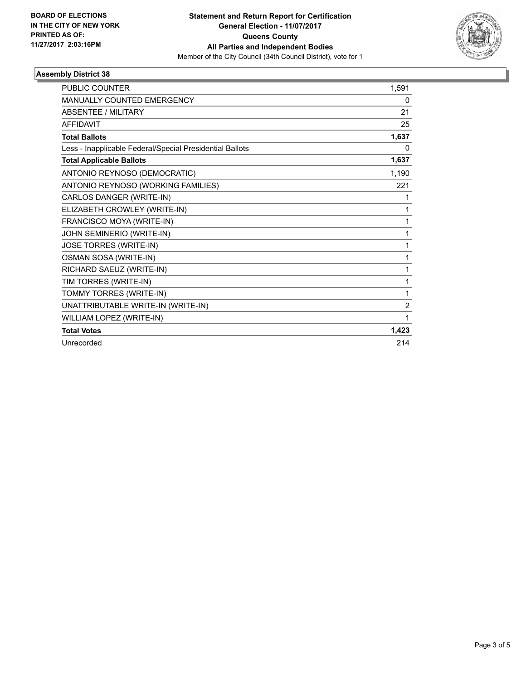

### **Assembly District 38**

| <b>PUBLIC COUNTER</b>                                    | 1,591          |
|----------------------------------------------------------|----------------|
| MANUALLY COUNTED EMERGENCY                               | 0              |
| ABSENTEE / MILITARY                                      | 21             |
| <b>AFFIDAVIT</b>                                         | 25             |
| <b>Total Ballots</b>                                     | 1,637          |
| Less - Inapplicable Federal/Special Presidential Ballots | 0              |
| <b>Total Applicable Ballots</b>                          | 1,637          |
| ANTONIO REYNOSO (DEMOCRATIC)                             | 1,190          |
| ANTONIO REYNOSO (WORKING FAMILIES)                       | 221            |
| CARLOS DANGER (WRITE-IN)                                 | 1              |
| ELIZABETH CROWLEY (WRITE-IN)                             | 1              |
| FRANCISCO MOYA (WRITE-IN)                                | 1              |
| JOHN SEMINERIO (WRITE-IN)                                | 1              |
| JOSE TORRES (WRITE-IN)                                   | 1              |
| OSMAN SOSA (WRITE-IN)                                    | 1              |
| RICHARD SAEUZ (WRITE-IN)                                 | 1              |
| TIM TORRES (WRITE-IN)                                    | 1              |
| TOMMY TORRES (WRITE-IN)                                  | 1              |
| UNATTRIBUTABLE WRITE-IN (WRITE-IN)                       | $\overline{2}$ |
| WILLIAM LOPEZ (WRITE-IN)                                 | 1              |
| <b>Total Votes</b>                                       | 1,423          |
| Unrecorded                                               | 214            |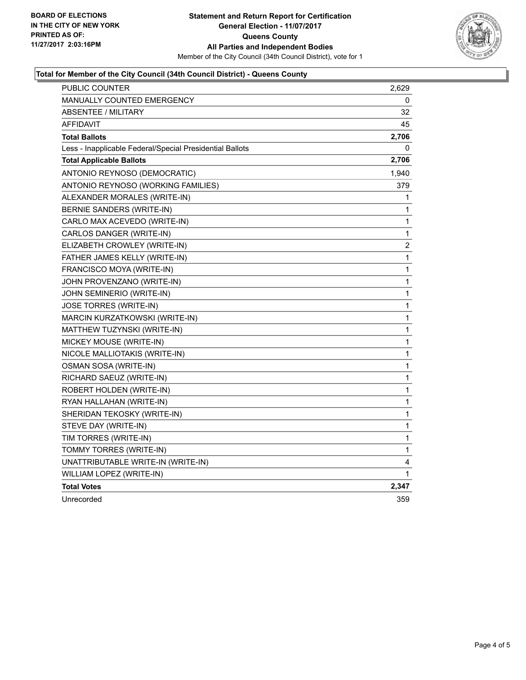

### **Total for Member of the City Council (34th Council District) - Queens County**

| PUBLIC COUNTER                                           | 2,629 |
|----------------------------------------------------------|-------|
| MANUALLY COUNTED EMERGENCY                               | 0     |
| <b>ABSENTEE / MILITARY</b>                               | 32    |
| AFFIDAVIT                                                | 45    |
| <b>Total Ballots</b>                                     | 2,706 |
| Less - Inapplicable Federal/Special Presidential Ballots | 0     |
| <b>Total Applicable Ballots</b>                          | 2,706 |
| ANTONIO REYNOSO (DEMOCRATIC)                             | 1,940 |
| ANTONIO REYNOSO (WORKING FAMILIES)                       | 379   |
| ALEXANDER MORALES (WRITE-IN)                             | 1     |
| BERNIE SANDERS (WRITE-IN)                                | 1     |
| CARLO MAX ACEVEDO (WRITE-IN)                             | 1     |
| CARLOS DANGER (WRITE-IN)                                 | 1     |
| ELIZABETH CROWLEY (WRITE-IN)                             | 2     |
| FATHER JAMES KELLY (WRITE-IN)                            | 1     |
| FRANCISCO MOYA (WRITE-IN)                                | 1     |
| JOHN PROVENZANO (WRITE-IN)                               | 1     |
| JOHN SEMINERIO (WRITE-IN)                                | 1     |
| JOSE TORRES (WRITE-IN)                                   | 1     |
| MARCIN KURZATKOWSKI (WRITE-IN)                           | 1     |
| MATTHEW TUZYNSKI (WRITE-IN)                              | 1     |
| MICKEY MOUSE (WRITE-IN)                                  | 1     |
| NICOLE MALLIOTAKIS (WRITE-IN)                            | 1     |
| OSMAN SOSA (WRITE-IN)                                    | 1     |
| RICHARD SAEUZ (WRITE-IN)                                 | 1     |
| ROBERT HOLDEN (WRITE-IN)                                 | 1     |
| RYAN HALLAHAN (WRITE-IN)                                 | 1     |
| SHERIDAN TEKOSKY (WRITE-IN)                              | 1     |
| STEVE DAY (WRITE-IN)                                     | 1     |
| TIM TORRES (WRITE-IN)                                    | 1     |
| TOMMY TORRES (WRITE-IN)                                  | 1     |
| UNATTRIBUTABLE WRITE-IN (WRITE-IN)                       | 4     |
| WILLIAM LOPEZ (WRITE-IN)                                 | 1     |
| <b>Total Votes</b>                                       | 2,347 |
| Unrecorded                                               | 359   |